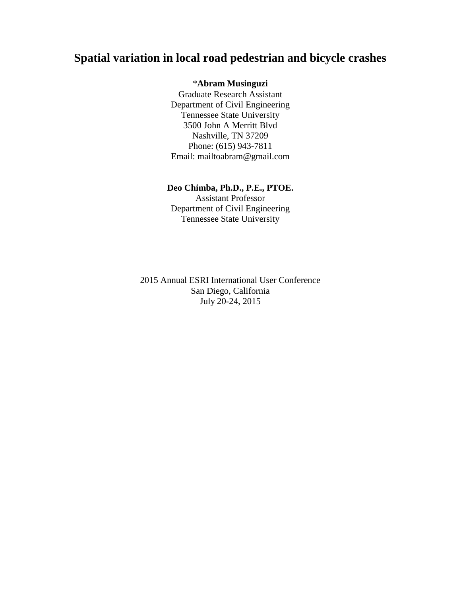# **Spatial variation in local road pedestrian and bicycle crashes**

## \***Abram Musinguzi**

Graduate Research Assistant Department of Civil Engineering Tennessee State University 3500 John A Merritt Blvd Nashville, TN 37209 Phone: (615) 943-7811 Email: mailtoabram@gmail.com

#### **Deo Chimba, Ph.D., P.E., PTOE.**

Assistant Professor Department of Civil Engineering Tennessee State University

2015 Annual ESRI International User Conference San Diego, California July 20-24, 2015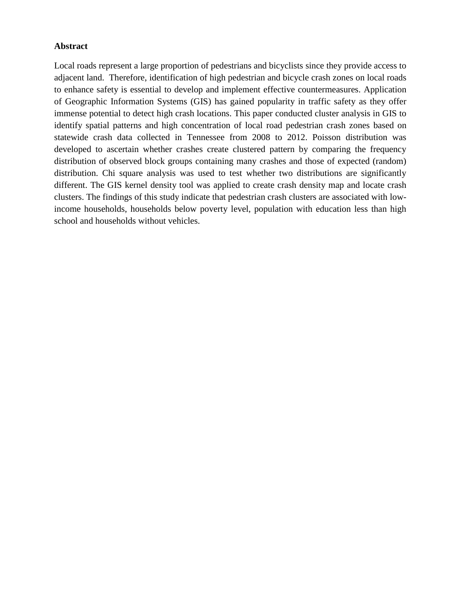### **Abstract**

Local roads represent a large proportion of pedestrians and bicyclists since they provide access to adjacent land. Therefore, identification of high pedestrian and bicycle crash zones on local roads to enhance safety is essential to develop and implement effective countermeasures. Application of Geographic Information Systems (GIS) has gained popularity in traffic safety as they offer immense potential to detect high crash locations. This paper conducted cluster analysis in GIS to identify spatial patterns and high concentration of local road pedestrian crash zones based on statewide crash data collected in Tennessee from 2008 to 2012. Poisson distribution was developed to ascertain whether crashes create clustered pattern by comparing the frequency distribution of observed block groups containing many crashes and those of expected (random) distribution. Chi square analysis was used to test whether two distributions are significantly different. The GIS kernel density tool was applied to create crash density map and locate crash clusters. The findings of this study indicate that pedestrian crash clusters are associated with lowincome households, households below poverty level, population with education less than high school and households without vehicles.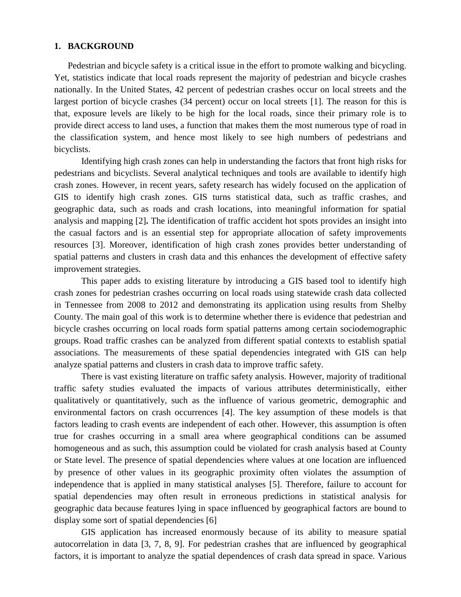#### **1. BACKGROUND**

Pedestrian and bicycle safety is a critical issue in the effort to promote walking and bicycling. Yet, statistics indicate that local roads represent the majority of pedestrian and bicycle crashes nationally. In the United States, 42 percent of pedestrian crashes occur on local streets and the largest portion of bicycle crashes (34 percent) occur on local streets [1]. The reason for this is that, exposure levels are likely to be high for the local roads, since their primary role is to provide direct access to land uses, a function that makes them the most numerous type of road in the classification system, and hence most likely to see high numbers of pedestrians and bicyclists.

Identifying high crash zones can help in understanding the factors that front high risks for pedestrians and bicyclists. Several analytical techniques and tools are available to identify high crash zones. However, in recent years, safety research has widely focused on the application of GIS to identify high crash zones. GIS turns statistical data, such as traffic crashes, and geographic data, such as roads and crash locations, into meaningful information for spatial analysis and mapping [2]**.** The identification of traffic accident hot spots provides an insight into the casual factors and is an essential step for appropriate allocation of safety improvements resources [3]. Moreover, identification of high crash zones provides better understanding of spatial patterns and clusters in crash data and this enhances the development of effective safety improvement strategies.

This paper adds to existing literature by introducing a GIS based tool to identify high crash zones for pedestrian crashes occurring on local roads using statewide crash data collected in Tennessee from 2008 to 2012 and demonstrating its application using results from Shelby County. The main goal of this work is to determine whether there is evidence that pedestrian and bicycle crashes occurring on local roads form spatial patterns among certain sociodemographic groups. Road traffic crashes can be analyzed from different spatial contexts to establish spatial associations. The measurements of these spatial dependencies integrated with GIS can help analyze spatial patterns and clusters in crash data to improve traffic safety.

There is vast existing literature on traffic safety analysis. However, majority of traditional traffic safety studies evaluated the impacts of various attributes deterministically, either qualitatively or quantitatively, such as the influence of various geometric, demographic and environmental factors on crash occurrences [4]. The key assumption of these models is that factors leading to crash events are independent of each other. However, this assumption is often true for crashes occurring in a small area where geographical conditions can be assumed homogeneous and as such, this assumption could be violated for crash analysis based at County or State level. The presence of spatial dependencies where values at one location are influenced by presence of other values in its geographic proximity often violates the assumption of independence that is applied in many statistical analyses [5]. Therefore, failure to account for spatial dependencies may often result in erroneous predictions in statistical analysis for geographic data because features lying in space influenced by geographical factors are bound to display some sort of spatial dependencies [6]

GIS application has increased enormously because of its ability to measure spatial autocorrelation in data [3, 7, 8, 9]. For pedestrian crashes that are influenced by geographical factors, it is important to analyze the spatial dependences of crash data spread in space. Various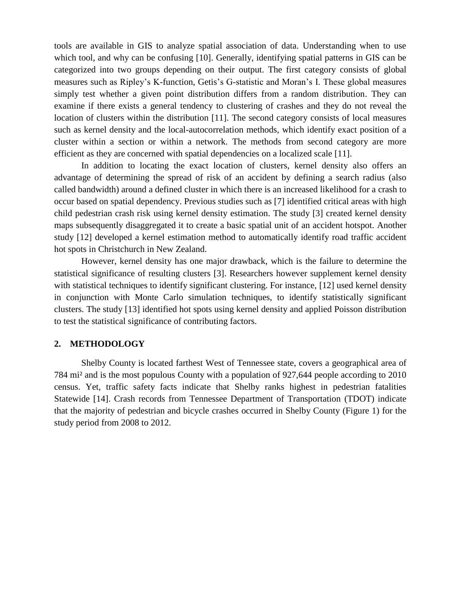tools are available in GIS to analyze spatial association of data. Understanding when to use which tool, and why can be confusing [10]. Generally, identifying spatial patterns in GIS can be categorized into two groups depending on their output. The first category consists of global measures such as Ripley's K-function, Getis's G-statistic and Moran's I. These global measures simply test whether a given point distribution differs from a random distribution. They can examine if there exists a general tendency to clustering of crashes and they do not reveal the location of clusters within the distribution [11]. The second category consists of local measures such as kernel density and the local-autocorrelation methods, which identify exact position of a cluster within a section or within a network. The methods from second category are more efficient as they are concerned with spatial dependencies on a localized scale [11].

In addition to locating the exact location of clusters, kernel density also offers an advantage of determining the spread of risk of an accident by defining a search radius (also called bandwidth) around a defined cluster in which there is an increased likelihood for a crash to occur based on spatial dependency. Previous studies such as [7] identified critical areas with high child pedestrian crash risk using kernel density estimation. The study [3] created kernel density maps subsequently disaggregated it to create a basic spatial unit of an accident hotspot. Another study [12] developed a kernel estimation method to automatically identify road traffic accident hot spots in Christchurch in New Zealand.

However, kernel density has one major drawback, which is the failure to determine the statistical significance of resulting clusters [3]. Researchers however supplement kernel density with statistical techniques to identify significant clustering. For instance, [12] used kernel density in conjunction with Monte Carlo simulation techniques, to identify statistically significant clusters. The study [13] identified hot spots using kernel density and applied Poisson distribution to test the statistical significance of contributing factors.

#### **2. METHODOLOGY**

Shelby County is located farthest West of Tennessee state, covers a geographical area of 784 mi² and is the most populous County with a population of 927,644 people according to 2010 census. Yet, traffic safety facts indicate that Shelby ranks highest in pedestrian fatalities Statewide [14]. Crash records from Tennessee Department of Transportation (TDOT) indicate that the majority of pedestrian and bicycle crashes occurred in Shelby County (Figure 1) for the study period from 2008 to 2012.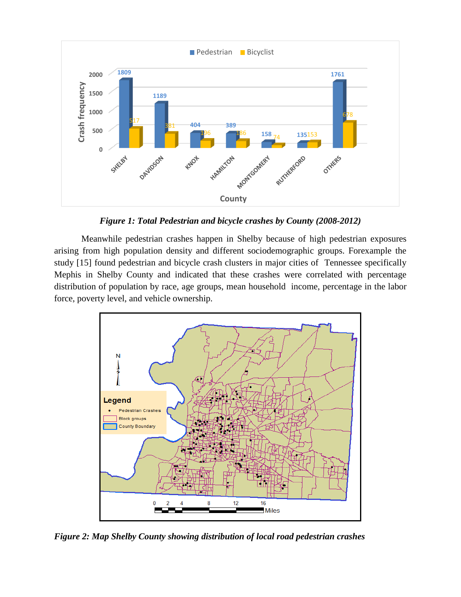

*Figure 1: Total Pedestrian and bicycle crashes by County (2008-2012)*

Meanwhile pedestrian crashes happen in Shelby because of high pedestrian exposures arising from high population density and different sociodemographic groups. Forexample the study [15] found pedestrian and bicycle crash clusters in major cities of Tennessee specifically Mephis in Shelby County and indicated that these crashes were correlated with percentage distribution of population by race, age groups, mean household income, percentage in the labor force, poverty level, and vehicle ownership.



*Figure 2: Map Shelby County showing distribution of local road pedestrian crashes*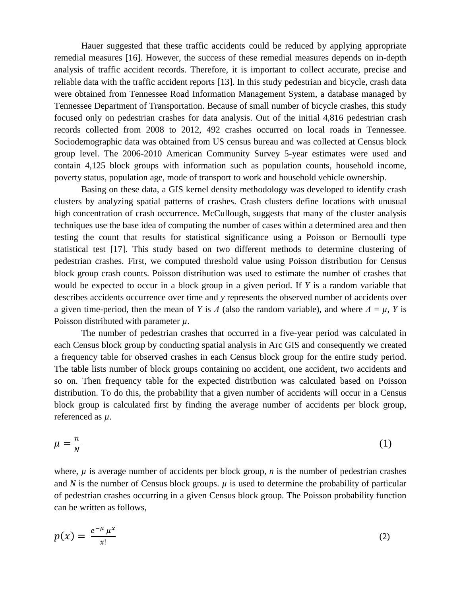Hauer suggested that these traffic accidents could be reduced by applying appropriate remedial measures [16]. However, the success of these remedial measures depends on in-depth analysis of traffic accident records. Therefore, it is important to collect accurate, precise and reliable data with the traffic accident reports [13]. In this study pedestrian and bicycle, crash data were obtained from Tennessee Road Information Management System, a database managed by Tennessee Department of Transportation. Because of small number of bicycle crashes, this study focused only on pedestrian crashes for data analysis. Out of the initial 4,816 pedestrian crash records collected from 2008 to 2012, 492 crashes occurred on local roads in Tennessee. Sociodemographic data was obtained from US census bureau and was collected at Census block group level. The 2006-2010 American Community Survey 5-year estimates were used and contain 4,125 block groups with information such as population counts, household income, poverty status, population age, mode of transport to work and household vehicle ownership.

Basing on these data, a GIS kernel density methodology was developed to identify crash clusters by analyzing spatial patterns of crashes. Crash clusters define locations with unusual high concentration of crash occurrence. McCullough, suggests that many of the cluster analysis techniques use the base idea of computing the number of cases within a determined area and then testing the count that results for statistical significance using a Poisson or Bernoulli type statistical test [17]. This study based on two different methods to determine clustering of pedestrian crashes. First, we computed threshold value using Poisson distribution for Census block group crash counts. Poisson distribution was used to estimate the number of crashes that would be expected to occur in a block group in a given period. If *Y* is a random variable that describes accidents occurrence over time and *y* represents the observed number of accidents over a given time-period, then the mean of *Y* is *Λ* (also the random variable), and where  $Λ = μ$ , *Y* is Poisson distributed with parameter *µ*.

The number of pedestrian crashes that occurred in a five-year period was calculated in each Census block group by conducting spatial analysis in Arc GIS and consequently we created a frequency table for observed crashes in each Census block group for the entire study period. The table lists number of block groups containing no accident, one accident, two accidents and so on. Then frequency table for the expected distribution was calculated based on Poisson distribution. To do this, the probability that a given number of accidents will occur in a Census block group is calculated first by finding the average number of accidents per block group, referenced as *µ*.

$$
\mu = \frac{n}{N} \tag{1}
$$

where,  $\mu$  is average number of accidents per block group,  $n$  is the number of pedestrian crashes and  $N$  is the number of Census block groups.  $\mu$  is used to determine the probability of particular of pedestrian crashes occurring in a given Census block group. The Poisson probability function can be written as follows,

$$
p(x) = \frac{e^{-\mu} \mu^x}{x!} \tag{2}
$$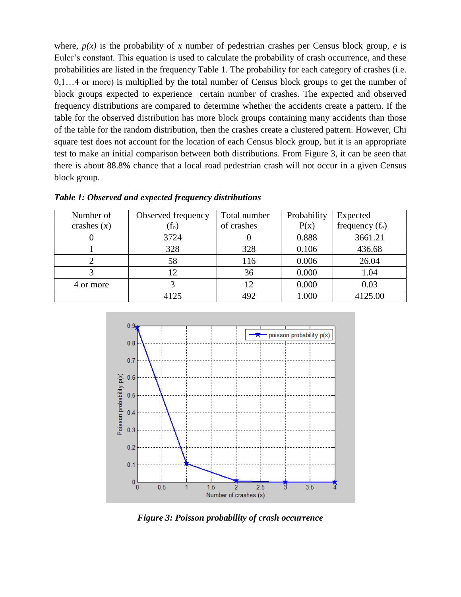where,  $p(x)$  is the probability of x number of pedestrian crashes per Census block group,  $e$  is Euler's constant. This equation is used to calculate the probability of crash occurrence, and these probabilities are listed in the frequency Table 1. The probability for each category of crashes (i.e. 0,1…4 or more) is multiplied by the total number of Census block groups to get the number of block groups expected to experience certain number of crashes. The expected and observed frequency distributions are compared to determine whether the accidents create a pattern. If the table for the observed distribution has more block groups containing many accidents than those of the table for the random distribution, then the crashes create a clustered pattern. However, Chi square test does not account for the location of each Census block group, but it is an appropriate test to make an initial comparison between both distributions. From Figure 3, it can be seen that there is about 88.8% chance that a local road pedestrian crash will not occur in a given Census block group.

| Number of     | Observed frequency        | Total number | Probability | Expected          |
|---------------|---------------------------|--------------|-------------|-------------------|
| crashes $(x)$ | $(\mathrm{f}_\mathrm{o})$ | of crashes   | P(x)        | frequency $(f_e)$ |
|               | 3724                      |              | 0.888       | 3661.21           |
|               | 328                       | 328          | 0.106       | 436.68            |
|               | 58                        | 116          | 0.006       | 26.04             |
|               |                           | 36           | 0.000       | 1.04              |
| 4 or more     |                           |              | 0.000       | 0.03              |
|               | 4125                      | 492          | 1.000       | 4125.00           |

*Table 1: Observed and expected frequency distributions*



*Figure 3: Poisson probability of crash occurrence*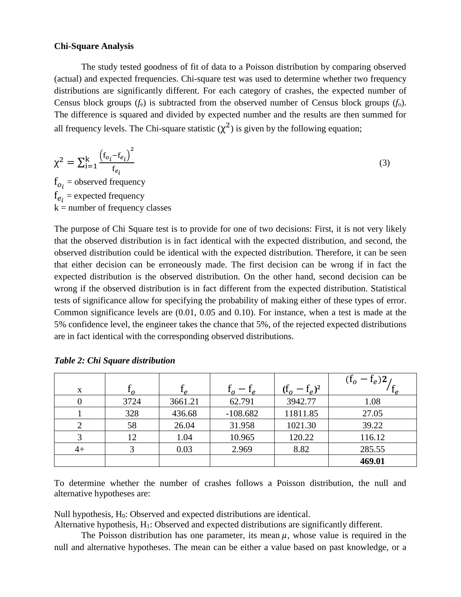#### **Chi-Square Analysis**

The study tested goodness of fit of data to a Poisson distribution by comparing observed (actual) and expected frequencies. Chi-square test was used to determine whether two frequency distributions are significantly different. For each category of crashes, the expected number of Census block groups (*f*e) is subtracted from the observed number of Census block groups (*f*o). The difference is squared and divided by expected number and the results are then summed for all frequency levels. The Chi-square statistic  $(\chi^2)$  is given by the following equation;

$$
\chi^2 = \sum_{i=1}^{k} \frac{\left(f_{o_i} - f_{e_i}\right)^2}{f_{e_i}}
$$
 (3)

 $f_{o_i}$  = observed frequency  $f_{e_i}$  = expected frequency  $k =$  number of frequency classes

The purpose of Chi Square test is to provide for one of two decisions: First, it is not very likely that the observed distribution is in fact identical with the expected distribution, and second, the observed distribution could be identical with the expected distribution. Therefore, it can be seen that either decision can be erroneously made. The first decision can be wrong if in fact the expected distribution is the observed distribution. On the other hand, second decision can be wrong if the observed distribution is in fact different from the expected distribution. Statistical tests of significance allow for specifying the probability of making either of these types of error. Common significance levels are (0.01, 0.05 and 0.10). For instance, when a test is made at the 5% confidence level, the engineer takes the chance that 5%, of the rejected expected distributions are in fact identical with the corresponding observed distributions.

| X    |      |         |            | $(f_{\rho} - f_{\rho})^2$ | $(f_o - f_e)2$ |
|------|------|---------|------------|---------------------------|----------------|
|      | 3724 | 3661.21 | 62.791     | 3942.77                   | 1.08           |
|      | 328  | 436.68  | $-108.682$ | 11811.85                  | 27.05          |
|      | 58   | 26.04   | 31.958     | 1021.30                   | 39.22          |
|      | 12   | 1.04    | 10.965     | 120.22                    | 116.12         |
| $4+$ |      | 0.03    | 2.969      | 8.82                      | 285.55         |
|      |      |         |            |                           | 469.01         |

*Table 2: Chi Square distribution*

To determine whether the number of crashes follows a Poisson distribution, the null and alternative hypotheses are:

Null hypothesis, H<sub>0</sub>: Observed and expected distributions are identical.

Alternative hypothesis, H<sub>1</sub>: Observed and expected distributions are significantly different.

The Poisson distribution has one parameter, its mean  $\mu$ , whose value is required in the null and alternative hypotheses. The mean can be either a value based on past knowledge, or a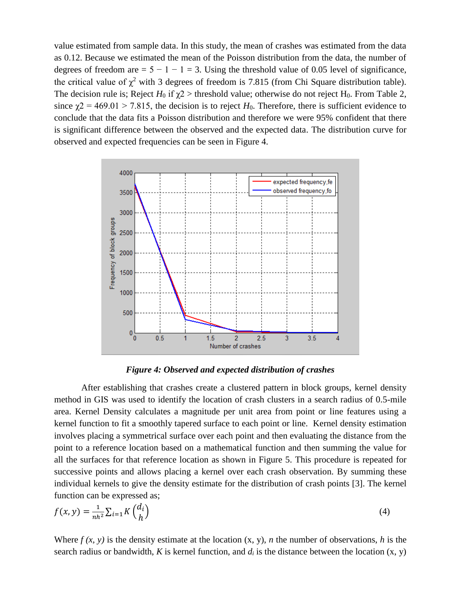value estimated from sample data. In this study, the mean of crashes was estimated from the data as 0.12. Because we estimated the mean of the Poisson distribution from the data, the number of degrees of freedom are  $= 5 - 1 - 1 = 3$ . Using the threshold value of 0.05 level of significance, the critical value of  $\chi^2$  with 3 degrees of freedom is 7.815 (from Chi Square distribution table). The decision rule is; Reject  $H_0$  if  $\chi$ 2 > threshold value; otherwise do not reject H<sub>0</sub>. From Table 2, since  $\gamma$ 2 = 469.01 > 7.815, the decision is to reject *H*<sub>0</sub>. Therefore, there is sufficient evidence to conclude that the data fits a Poisson distribution and therefore we were 95% confident that there is significant difference between the observed and the expected data. The distribution curve for observed and expected frequencies can be seen in Figure 4.



*Figure 4: Observed and expected distribution of crashes*

After establishing that crashes create a clustered pattern in block groups, kernel density method in GIS was used to identify the location of crash clusters in a search radius of 0.5-mile area. Kernel Density calculates a magnitude per unit area from point or line features using a kernel function to fit a smoothly tapered surface to each point or line. Kernel density estimation involves placing a symmetrical surface over each point and then evaluating the distance from the point to a reference location based on a mathematical function and then summing the value for all the surfaces for that reference location as shown in Figure 5. This procedure is repeated for successive points and allows placing a kernel over each crash observation. By summing these individual kernels to give the density estimate for the distribution of crash points [3]. The kernel function can be expressed as;

$$
f(x,y) = \frac{1}{nh^2} \sum_{i=1} K\binom{d_i}{h}
$$
\n<sup>(4)</sup>

Where  $f(x, y)$  is the density estimate at the location  $(x, y)$ , *n* the number of observations, *h* is the search radius or bandwidth, *K* is kernel function, and  $d_i$  is the distance between the location  $(x, y)$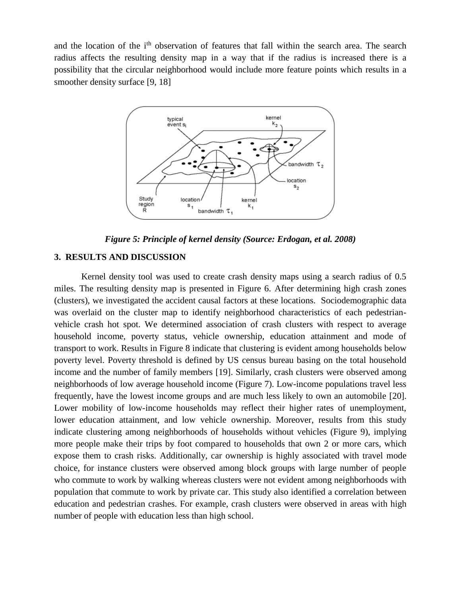and the location of the i<sup>th</sup> observation of features that fall within the search area. The search radius affects the resulting density map in a way that if the radius is increased there is a possibility that the circular neighborhood would include more feature points which results in a smoother density surface [9, 18]



*Figure 5: Principle of kernel density (Source: Erdogan, et al. 2008)*

## **3. RESULTS AND DISCUSSION**

Kernel density tool was used to create crash density maps using a search radius of 0.5 miles. The resulting density map is presented in Figure 6. After determining high crash zones (clusters), we investigated the accident causal factors at these locations. Sociodemographic data was overlaid on the cluster map to identify neighborhood characteristics of each pedestrianvehicle crash hot spot. We determined association of crash clusters with respect to average household income, poverty status, vehicle ownership, education attainment and mode of transport to work. Results in Figure 8 indicate that clustering is evident among households below poverty level. Poverty threshold is defined by US census bureau basing on the total household income and the number of family members [19]. Similarly, crash clusters were observed among neighborhoods of low average household income (Figure 7). Low-income populations travel less frequently, have the lowest income groups and are much less likely to own an automobile [20]. Lower mobility of low-income households may reflect their higher rates of unemployment, lower education attainment, and low vehicle ownership. Moreover, results from this study indicate clustering among neighborhoods of households without vehicles (Figure 9), implying more people make their trips by foot compared to households that own 2 or more cars, which expose them to crash risks. Additionally, car ownership is highly associated with travel mode choice, for instance clusters were observed among block groups with large number of people who commute to work by walking whereas clusters were not evident among neighborhoods with population that commute to work by private car. This study also identified a correlation between education and pedestrian crashes. For example, crash clusters were observed in areas with high number of people with education less than high school.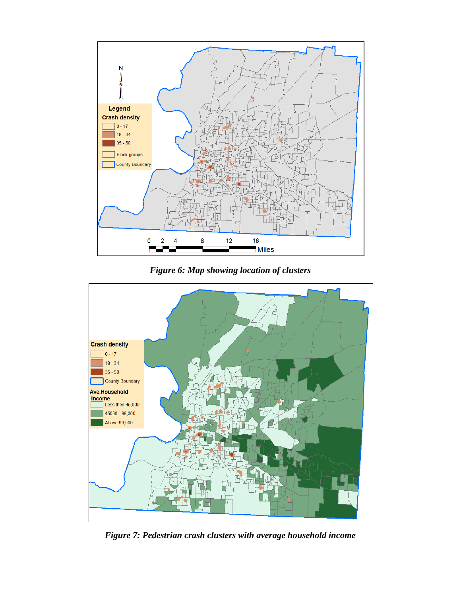

*Figure 6: Map showing location of clusters*



*Figure 7: Pedestrian crash clusters with average household income*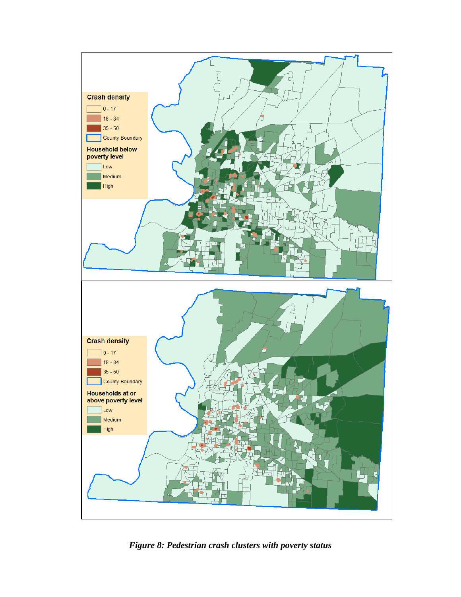

*Figure 8: Pedestrian crash clusters with poverty status*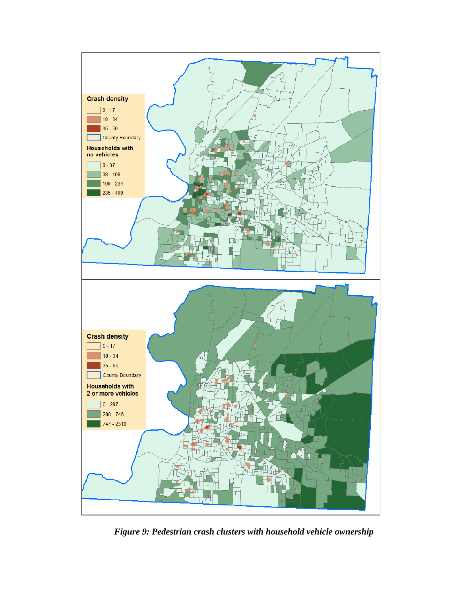

*Figure 9: Pedestrian crash clusters with household vehicle ownership*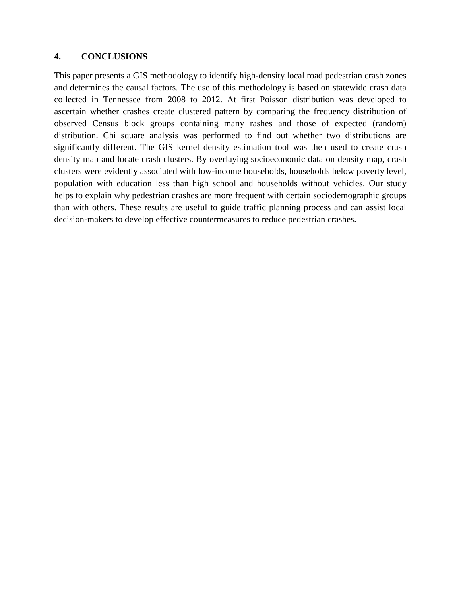## **4. CONCLUSIONS**

This paper presents a GIS methodology to identify high-density local road pedestrian crash zones and determines the causal factors. The use of this methodology is based on statewide crash data collected in Tennessee from 2008 to 2012. At first Poisson distribution was developed to ascertain whether crashes create clustered pattern by comparing the frequency distribution of observed Census block groups containing many rashes and those of expected (random) distribution. Chi square analysis was performed to find out whether two distributions are significantly different. The GIS kernel density estimation tool was then used to create crash density map and locate crash clusters. By overlaying socioeconomic data on density map, crash clusters were evidently associated with low-income households, households below poverty level, population with education less than high school and households without vehicles. Our study helps to explain why pedestrian crashes are more frequent with certain sociodemographic groups than with others. These results are useful to guide traffic planning process and can assist local decision-makers to develop effective countermeasures to reduce pedestrian crashes.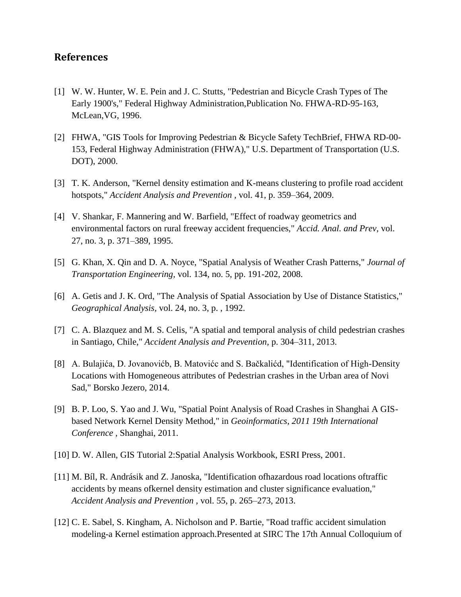## **References**

- [1] W. W. Hunter, W. E. Pein and J. C. Stutts, "Pedestrian and Bicycle Crash Types of The Early 1900's," Federal Highway Administration,Publication No. FHWA-RD-95-163, McLean,VG, 1996.
- [2] FHWA, "GIS Tools for Improving Pedestrian & Bicycle Safety TechBrief, FHWA RD-00- 153, Federal Highway Administration (FHWA)," U.S. Department of Transportation (U.S. DOT), 2000.
- [3] T. K. Anderson, "Kernel density estimation and K-means clustering to profile road accident hotspots," *Accident Analysis and Prevention ,* vol. 41, p. 359–364, 2009.
- [4] V. Shankar, F. Mannering and W. Barfield, "Effect of roadway geometrics and environmental factors on rural freeway accident frequencies," *Accid. Anal. and Prev,* vol. 27, no. 3, p. 371–389, 1995.
- [5] G. Khan, X. Qin and D. A. Noyce, "Spatial Analysis of Weather Crash Patterns," *Journal of Transportation Engineering,* vol. 134, no. 5, pp. 191-202, 2008.
- [6] A. Getis and J. K. Ord, "The Analysis of Spatial Association by Use of Distance Statistics," *Geographical Analysis,* vol. 24, no. 3, p. , 1992.
- [7] C. A. Blazquez and M. S. Celis, "A spatial and temporal analysis of child pedestrian crashes in Santiago, Chile," *Accident Analysis and Prevention,* p. 304–311, 2013.
- [8] A. Bulajića, D. Jovanovićb, B. Matovićc and S. Bačkalićd, "Identification of High-Density Locations with Homogeneous attributes of Pedestrian crashes in the Urban area of Novi Sad," Borsko Jezero, 2014.
- [9] B. P. Loo, S. Yao and J. Wu, "Spatial Point Analysis of Road Crashes in Shanghai A GISbased Network Kernel Density Method," in *Geoinformatics, 2011 19th International Conference* , Shanghai, 2011.
- [10] D. W. Allen, GIS Tutorial 2:Spatial Analysis Workbook, ESRI Press, 2001.
- [11] M. Bíl, R. Andrásik and Z. Janoska, "Identification ofhazardous road locations oftraffic accidents by means ofkernel density estimation and cluster significance evaluation," *Accident Analysis and Prevention ,* vol. 55, p. 265–273, 2013.
- [12] C. E. Sabel, S. Kingham, A. Nicholson and P. Bartie, "Road traffic accident simulation modeling-a Kernel estimation approach.Presented at SIRC The 17th Annual Colloquium of